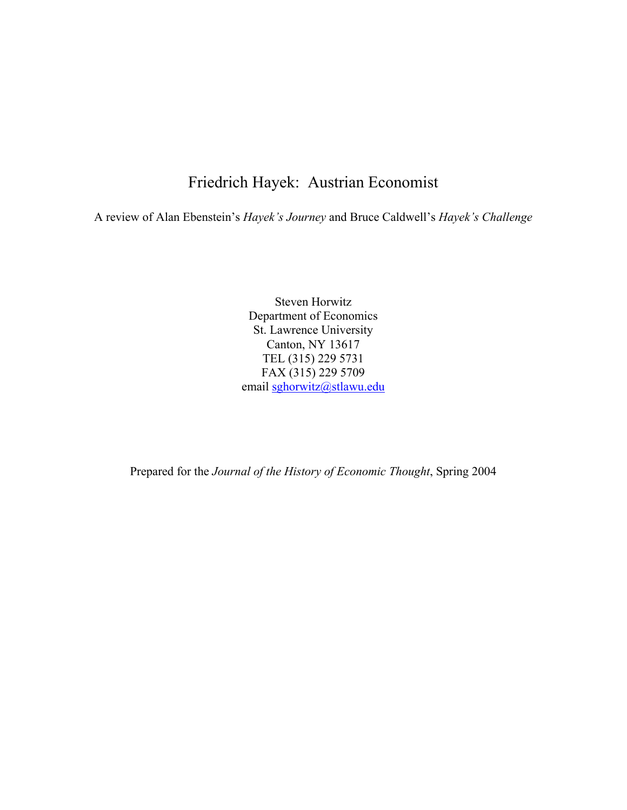A review of Alan Ebenstein's *Hayek's Journey* and Bruce Caldwell's *Hayek's Challenge* 

Steven Horwitz Department of Economics St. Lawrence University Canton, NY 13617 TEL (315) 229 5731 FAX (315) 229 5709 email [sghorwitz@stlawu.edu](mailto:sghorwitz@stlawu.edu)

Prepared for the *Journal of the History of Economic Thought*, Spring 2004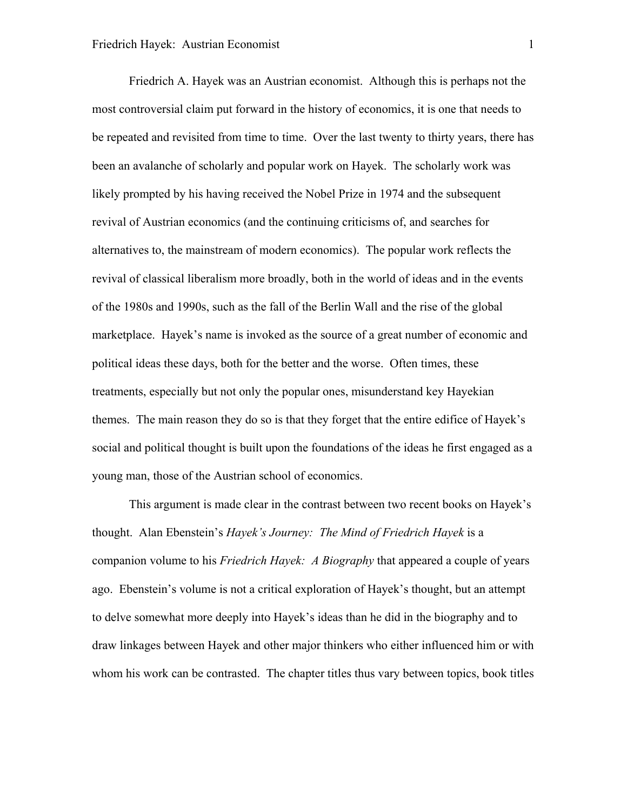Friedrich A. Hayek was an Austrian economist. Although this is perhaps not the most controversial claim put forward in the history of economics, it is one that needs to be repeated and revisited from time to time. Over the last twenty to thirty years, there has been an avalanche of scholarly and popular work on Hayek. The scholarly work was likely prompted by his having received the Nobel Prize in 1974 and the subsequent revival of Austrian economics (and the continuing criticisms of, and searches for alternatives to, the mainstream of modern economics). The popular work reflects the revival of classical liberalism more broadly, both in the world of ideas and in the events of the 1980s and 1990s, such as the fall of the Berlin Wall and the rise of the global marketplace. Hayek's name is invoked as the source of a great number of economic and political ideas these days, both for the better and the worse. Often times, these treatments, especially but not only the popular ones, misunderstand key Hayekian themes. The main reason they do so is that they forget that the entire edifice of Hayek's social and political thought is built upon the foundations of the ideas he first engaged as a young man, those of the Austrian school of economics.

 This argument is made clear in the contrast between two recent books on Hayek's thought. Alan Ebenstein's *Hayek's Journey: The Mind of Friedrich Hayek* is a companion volume to his *Friedrich Hayek: A Biography* that appeared a couple of years ago. Ebenstein's volume is not a critical exploration of Hayek's thought, but an attempt to delve somewhat more deeply into Hayek's ideas than he did in the biography and to draw linkages between Hayek and other major thinkers who either influenced him or with whom his work can be contrasted. The chapter titles thus vary between topics, book titles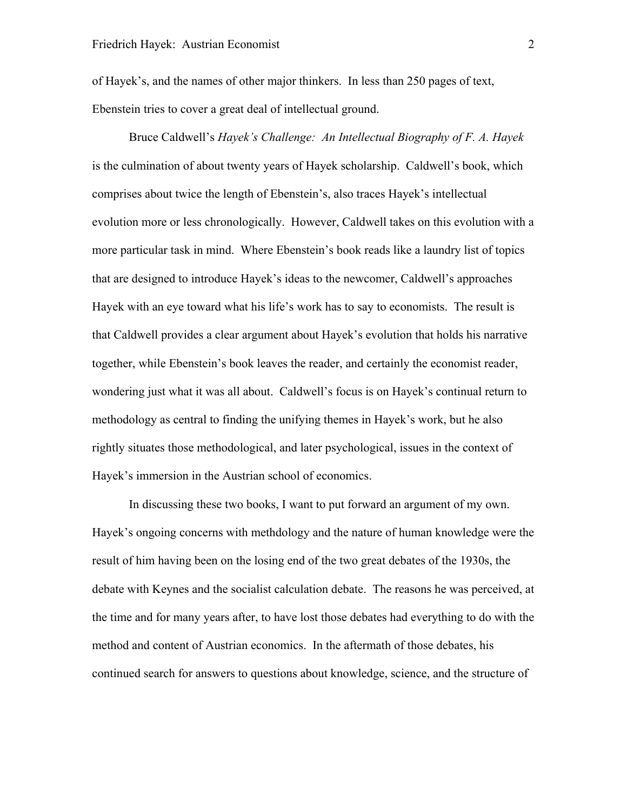of Hayek's, and the names of other major thinkers. In less than 250 pages of text, Ebenstein tries to cover a great deal of intellectual ground.

 Bruce Caldwell's *Hayek's Challenge: An Intellectual Biography of F. A. Hayek* is the culmination of about twenty years of Hayek scholarship. Caldwell's book, which comprises about twice the length of Ebenstein's, also traces Hayek's intellectual evolution more or less chronologically. However, Caldwell takes on this evolution with a more particular task in mind. Where Ebenstein's book reads like a laundry list of topics that are designed to introduce Hayek's ideas to the newcomer, Caldwell's approaches Hayek with an eye toward what his life's work has to say to economists. The result is that Caldwell provides a clear argument about Hayek's evolution that holds his narrative together, while Ebenstein's book leaves the reader, and certainly the economist reader, wondering just what it was all about. Caldwell's focus is on Hayek's continual return to methodology as central to finding the unifying themes in Hayek's work, but he also rightly situates those methodological, and later psychological, issues in the context of Hayek's immersion in the Austrian school of economics.

 In discussing these two books, I want to put forward an argument of my own. Hayek's ongoing concerns with methdology and the nature of human knowledge were the result of him having been on the losing end of the two great debates of the 1930s, the debate with Keynes and the socialist calculation debate. The reasons he was perceived, at the time and for many years after, to have lost those debates had everything to do with the method and content of Austrian economics. In the aftermath of those debates, his continued search for answers to questions about knowledge, science, and the structure of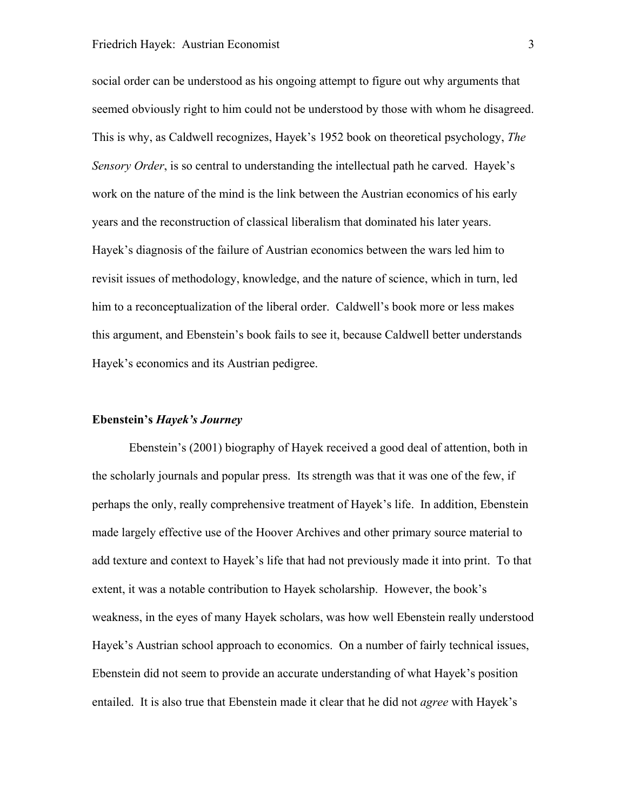social order can be understood as his ongoing attempt to figure out why arguments that seemed obviously right to him could not be understood by those with whom he disagreed. This is why, as Caldwell recognizes, Hayek's 1952 book on theoretical psychology, *The Sensory Order*, is so central to understanding the intellectual path he carved. Hayek's work on the nature of the mind is the link between the Austrian economics of his early years and the reconstruction of classical liberalism that dominated his later years. Hayek's diagnosis of the failure of Austrian economics between the wars led him to revisit issues of methodology, knowledge, and the nature of science, which in turn, led him to a reconceptualization of the liberal order. Caldwell's book more or less makes this argument, and Ebenstein's book fails to see it, because Caldwell better understands Hayek's economics and its Austrian pedigree.

### **Ebenstein's** *Hayek's Journey*

 Ebenstein's (2001) biography of Hayek received a good deal of attention, both in the scholarly journals and popular press. Its strength was that it was one of the few, if perhaps the only, really comprehensive treatment of Hayek's life. In addition, Ebenstein made largely effective use of the Hoover Archives and other primary source material to add texture and context to Hayek's life that had not previously made it into print. To that extent, it was a notable contribution to Hayek scholarship. However, the book's weakness, in the eyes of many Hayek scholars, was how well Ebenstein really understood Hayek's Austrian school approach to economics. On a number of fairly technical issues, Ebenstein did not seem to provide an accurate understanding of what Hayek's position entailed. It is also true that Ebenstein made it clear that he did not *agree* with Hayek's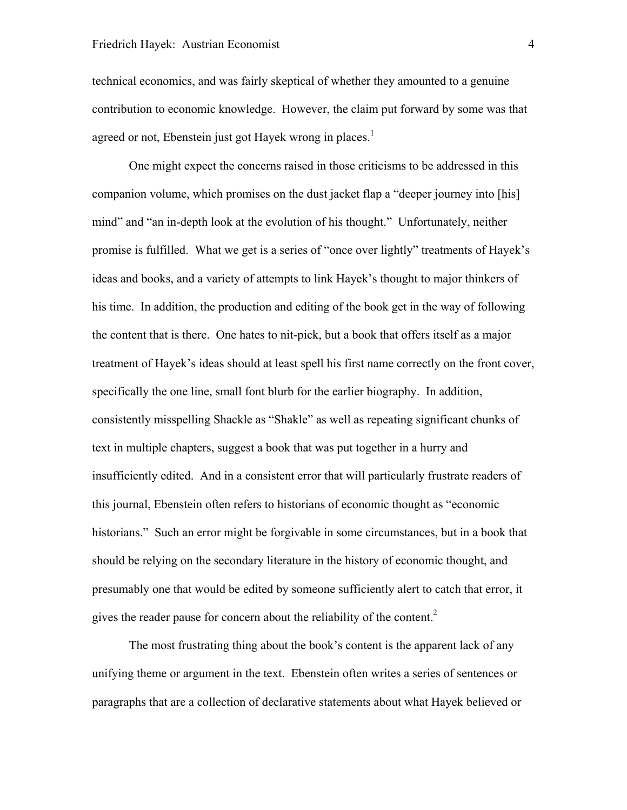technical economics, and was fairly skeptical of whether they amounted to a genuine contribution to economic knowledge. However, the claim put forward by some was that agreed or not, Ebenstein just got Hayek wrong in places.<sup>[1](#page-27-0)</sup>

 One might expect the concerns raised in those criticisms to be addressed in this companion volume, which promises on the dust jacket flap a "deeper journey into [his] mind" and "an in-depth look at the evolution of his thought." Unfortunately, neither promise is fulfilled. What we get is a series of "once over lightly" treatments of Hayek's ideas and books, and a variety of attempts to link Hayek's thought to major thinkers of his time. In addition, the production and editing of the book get in the way of following the content that is there. One hates to nit-pick, but a book that offers itself as a major treatment of Hayek's ideas should at least spell his first name correctly on the front cover, specifically the one line, small font blurb for the earlier biography. In addition, consistently misspelling Shackle as "Shakle" as well as repeating significant chunks of text in multiple chapters, suggest a book that was put together in a hurry and insufficiently edited. And in a consistent error that will particularly frustrate readers of this journal, Ebenstein often refers to historians of economic thought as "economic historians." Such an error might be forgivable in some circumstances, but in a book that should be relying on the secondary literature in the history of economic thought, and presumably one that would be edited by someone sufficiently alert to catch that error, it gives the reader pause for concern about the reliability of the content.<sup>2</sup>

 The most frustrating thing about the book's content is the apparent lack of any unifying theme or argument in the text. Ebenstein often writes a series of sentences or paragraphs that are a collection of declarative statements about what Hayek believed or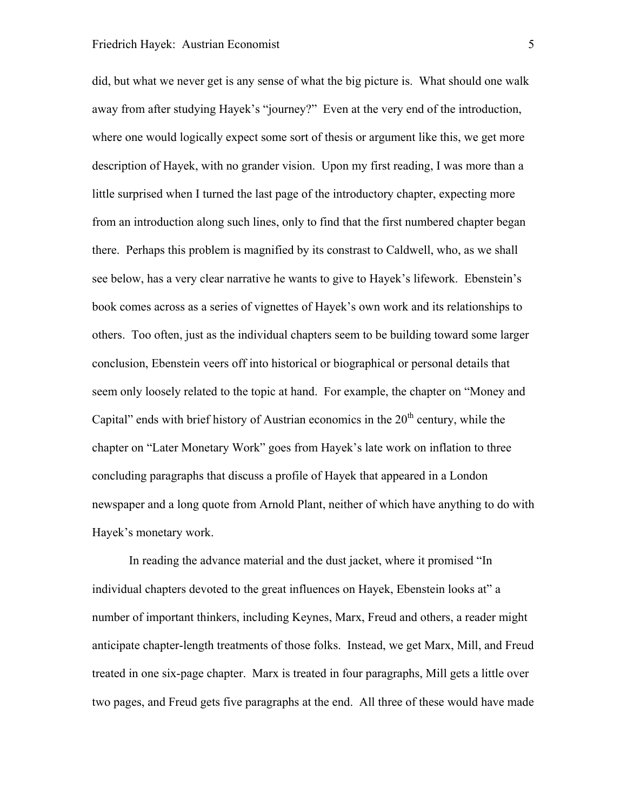did, but what we never get is any sense of what the big picture is. What should one walk away from after studying Hayek's "journey?" Even at the very end of the introduction, where one would logically expect some sort of thesis or argument like this, we get more description of Hayek, with no grander vision. Upon my first reading, I was more than a little surprised when I turned the last page of the introductory chapter, expecting more from an introduction along such lines, only to find that the first numbered chapter began there. Perhaps this problem is magnified by its constrast to Caldwell, who, as we shall see below, has a very clear narrative he wants to give to Hayek's lifework. Ebenstein's book comes across as a series of vignettes of Hayek's own work and its relationships to others. Too often, just as the individual chapters seem to be building toward some larger conclusion, Ebenstein veers off into historical or biographical or personal details that seem only loosely related to the topic at hand. For example, the chapter on "Money and Capital" ends with brief history of Austrian economics in the  $20<sup>th</sup>$  century, while the chapter on "Later Monetary Work" goes from Hayek's late work on inflation to three concluding paragraphs that discuss a profile of Hayek that appeared in a London newspaper and a long quote from Arnold Plant, neither of which have anything to do with Hayek's monetary work.

 In reading the advance material and the dust jacket, where it promised "In individual chapters devoted to the great influences on Hayek, Ebenstein looks at" a number of important thinkers, including Keynes, Marx, Freud and others, a reader might anticipate chapter-length treatments of those folks. Instead, we get Marx, Mill, and Freud treated in one six-page chapter. Marx is treated in four paragraphs, Mill gets a little over two pages, and Freud gets five paragraphs at the end. All three of these would have made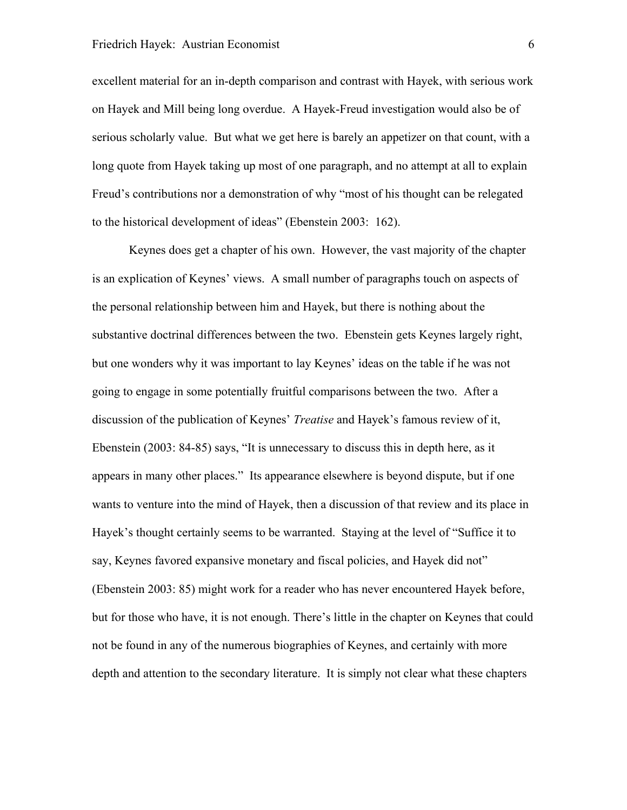excellent material for an in-depth comparison and contrast with Hayek, with serious work on Hayek and Mill being long overdue. A Hayek-Freud investigation would also be of serious scholarly value. But what we get here is barely an appetizer on that count, with a long quote from Hayek taking up most of one paragraph, and no attempt at all to explain Freud's contributions nor a demonstration of why "most of his thought can be relegated to the historical development of ideas" (Ebenstein 2003: 162).

 Keynes does get a chapter of his own. However, the vast majority of the chapter is an explication of Keynes' views. A small number of paragraphs touch on aspects of the personal relationship between him and Hayek, but there is nothing about the substantive doctrinal differences between the two. Ebenstein gets Keynes largely right, but one wonders why it was important to lay Keynes' ideas on the table if he was not going to engage in some potentially fruitful comparisons between the two. After a discussion of the publication of Keynes' *Treatise* and Hayek's famous review of it, Ebenstein (2003: 84-85) says, "It is unnecessary to discuss this in depth here, as it appears in many other places." Its appearance elsewhere is beyond dispute, but if one wants to venture into the mind of Hayek, then a discussion of that review and its place in Hayek's thought certainly seems to be warranted. Staying at the level of "Suffice it to say, Keynes favored expansive monetary and fiscal policies, and Hayek did not" (Ebenstein 2003: 85) might work for a reader who has never encountered Hayek before, but for those who have, it is not enough. There's little in the chapter on Keynes that could not be found in any of the numerous biographies of Keynes, and certainly with more depth and attention to the secondary literature. It is simply not clear what these chapters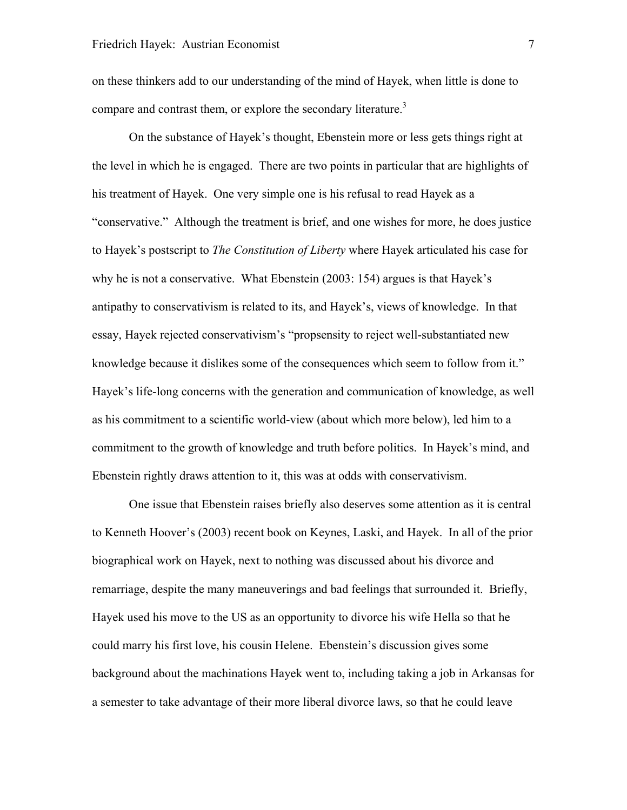on these thinkers add to our understanding of the mind of Hayek, when little is done to compare and contrast them, or explore the secondary literature.<sup>3</sup>

 On the substance of Hayek's thought, Ebenstein more or less gets things right at the level in which he is engaged. There are two points in particular that are highlights of his treatment of Hayek. One very simple one is his refusal to read Hayek as a "conservative." Although the treatment is brief, and one wishes for more, he does justice to Hayek's postscript to *The Constitution of Liberty* where Hayek articulated his case for why he is not a conservative. What Ebenstein (2003: 154) argues is that Hayek's antipathy to conservativism is related to its, and Hayek's, views of knowledge. In that essay, Hayek rejected conservativism's "propsensity to reject well-substantiated new knowledge because it dislikes some of the consequences which seem to follow from it." Hayek's life-long concerns with the generation and communication of knowledge, as well as his commitment to a scientific world-view (about which more below), led him to a commitment to the growth of knowledge and truth before politics. In Hayek's mind, and Ebenstein rightly draws attention to it, this was at odds with conservativism.

 One issue that Ebenstein raises briefly also deserves some attention as it is central to Kenneth Hoover's (2003) recent book on Keynes, Laski, and Hayek. In all of the prior biographical work on Hayek, next to nothing was discussed about his divorce and remarriage, despite the many maneuverings and bad feelings that surrounded it. Briefly, Hayek used his move to the US as an opportunity to divorce his wife Hella so that he could marry his first love, his cousin Helene. Ebenstein's discussion gives some background about the machinations Hayek went to, including taking a job in Arkansas for a semester to take advantage of their more liberal divorce laws, so that he could leave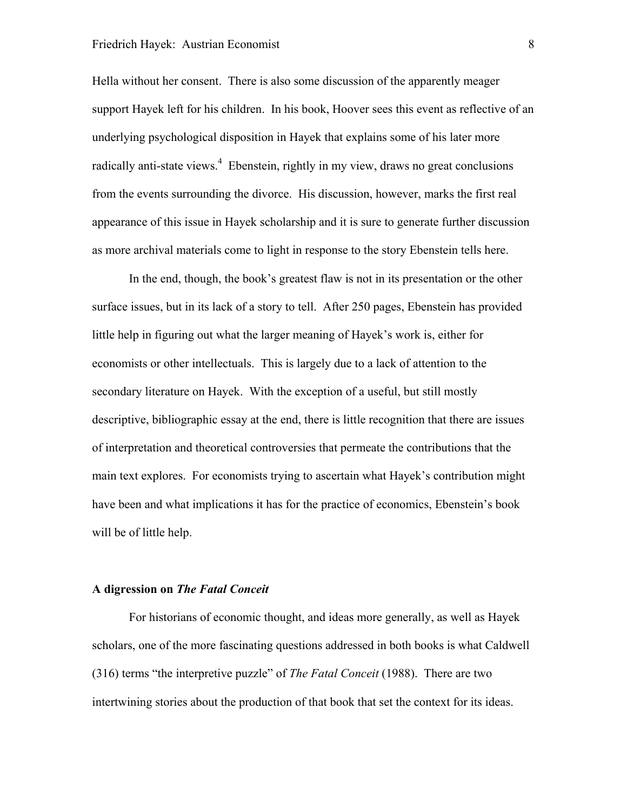Hella without her consent. There is also some discussion of the apparently meager support Hayek left for his children. In his book, Hoover sees this event as reflective of an underlying psychological disposition in Hayek that explains some of his later more radically anti-state views.<sup>[4](#page-27-3)</sup> Ebenstein, rightly in my view, draws no great conclusions from the events surrounding the divorce. His discussion, however, marks the first real appearance of this issue in Hayek scholarship and it is sure to generate further discussion as more archival materials come to light in response to the story Ebenstein tells here.

 In the end, though, the book's greatest flaw is not in its presentation or the other surface issues, but in its lack of a story to tell. After 250 pages, Ebenstein has provided little help in figuring out what the larger meaning of Hayek's work is, either for economists or other intellectuals. This is largely due to a lack of attention to the secondary literature on Hayek. With the exception of a useful, but still mostly descriptive, bibliographic essay at the end, there is little recognition that there are issues of interpretation and theoretical controversies that permeate the contributions that the main text explores. For economists trying to ascertain what Hayek's contribution might have been and what implications it has for the practice of economics, Ebenstein's book will be of little help.

#### **A digression on** *The Fatal Conceit*

 For historians of economic thought, and ideas more generally, as well as Hayek scholars, one of the more fascinating questions addressed in both books is what Caldwell (316) terms "the interpretive puzzle" of *The Fatal Conceit* (1988). There are two intertwining stories about the production of that book that set the context for its ideas.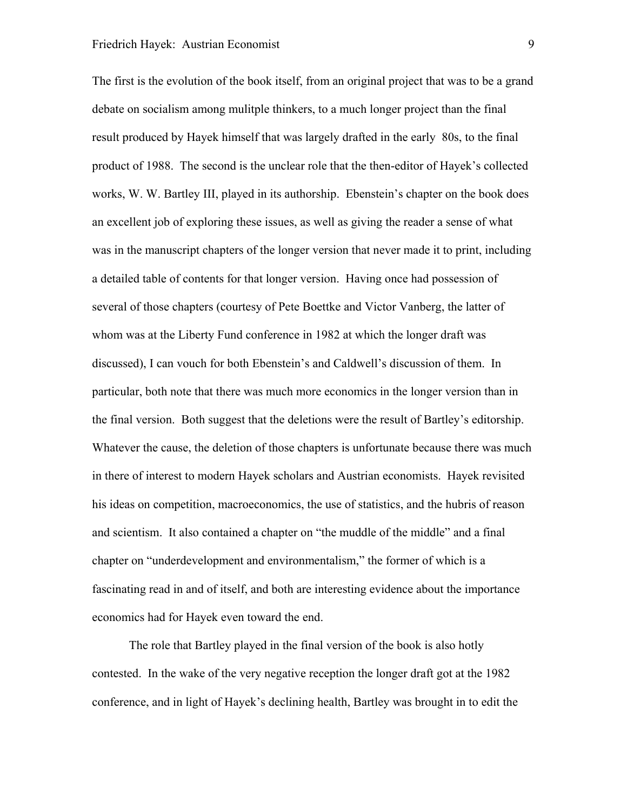The first is the evolution of the book itself, from an original project that was to be a grand debate on socialism among mulitple thinkers, to a much longer project than the final result produced by Hayek himself that was largely drafted in the early 80s, to the final product of 1988. The second is the unclear role that the then-editor of Hayek's collected works, W. W. Bartley III, played in its authorship. Ebenstein's chapter on the book does an excellent job of exploring these issues, as well as giving the reader a sense of what was in the manuscript chapters of the longer version that never made it to print, including a detailed table of contents for that longer version. Having once had possession of several of those chapters (courtesy of Pete Boettke and Victor Vanberg, the latter of whom was at the Liberty Fund conference in 1982 at which the longer draft was discussed), I can vouch for both Ebenstein's and Caldwell's discussion of them. In particular, both note that there was much more economics in the longer version than in the final version. Both suggest that the deletions were the result of Bartley's editorship. Whatever the cause, the deletion of those chapters is unfortunate because there was much in there of interest to modern Hayek scholars and Austrian economists. Hayek revisited his ideas on competition, macroeconomics, the use of statistics, and the hubris of reason and scientism. It also contained a chapter on "the muddle of the middle" and a final chapter on "underdevelopment and environmentalism," the former of which is a fascinating read in and of itself, and both are interesting evidence about the importance economics had for Hayek even toward the end.

 The role that Bartley played in the final version of the book is also hotly contested. In the wake of the very negative reception the longer draft got at the 1982 conference, and in light of Hayek's declining health, Bartley was brought in to edit the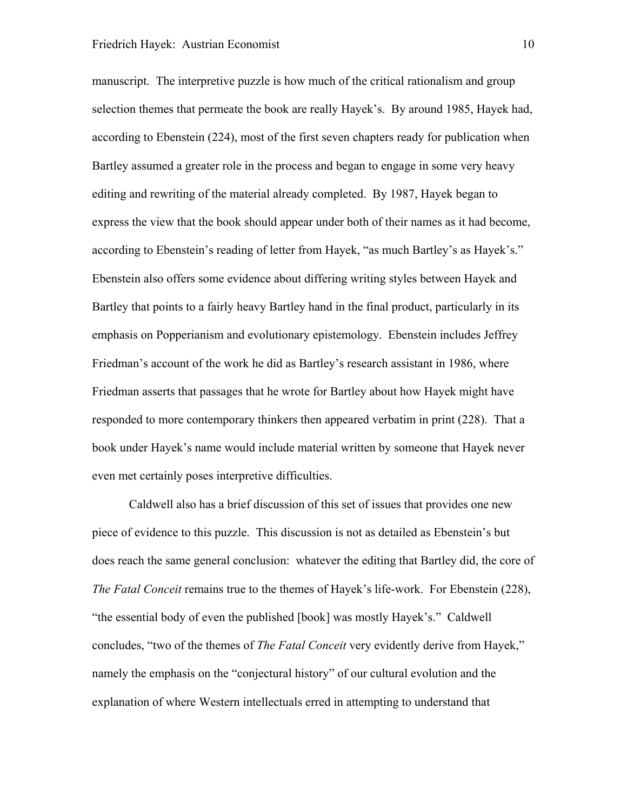manuscript. The interpretive puzzle is how much of the critical rationalism and group selection themes that permeate the book are really Hayek's. By around 1985, Hayek had, according to Ebenstein (224), most of the first seven chapters ready for publication when Bartley assumed a greater role in the process and began to engage in some very heavy editing and rewriting of the material already completed. By 1987, Hayek began to express the view that the book should appear under both of their names as it had become, according to Ebenstein's reading of letter from Hayek, "as much Bartley's as Hayek's." Ebenstein also offers some evidence about differing writing styles between Hayek and Bartley that points to a fairly heavy Bartley hand in the final product, particularly in its emphasis on Popperianism and evolutionary epistemology. Ebenstein includes Jeffrey Friedman's account of the work he did as Bartley's research assistant in 1986, where Friedman asserts that passages that he wrote for Bartley about how Hayek might have responded to more contemporary thinkers then appeared verbatim in print (228). That a book under Hayek's name would include material written by someone that Hayek never even met certainly poses interpretive difficulties.

Caldwell also has a brief discussion of this set of issues that provides one new piece of evidence to this puzzle. This discussion is not as detailed as Ebenstein's but does reach the same general conclusion: whatever the editing that Bartley did, the core of *The Fatal Conceit* remains true to the themes of Hayek's life-work. For Ebenstein (228), "the essential body of even the published [book] was mostly Hayek's." Caldwell concludes, "two of the themes of *The Fatal Conceit* very evidently derive from Hayek," namely the emphasis on the "conjectural history" of our cultural evolution and the explanation of where Western intellectuals erred in attempting to understand that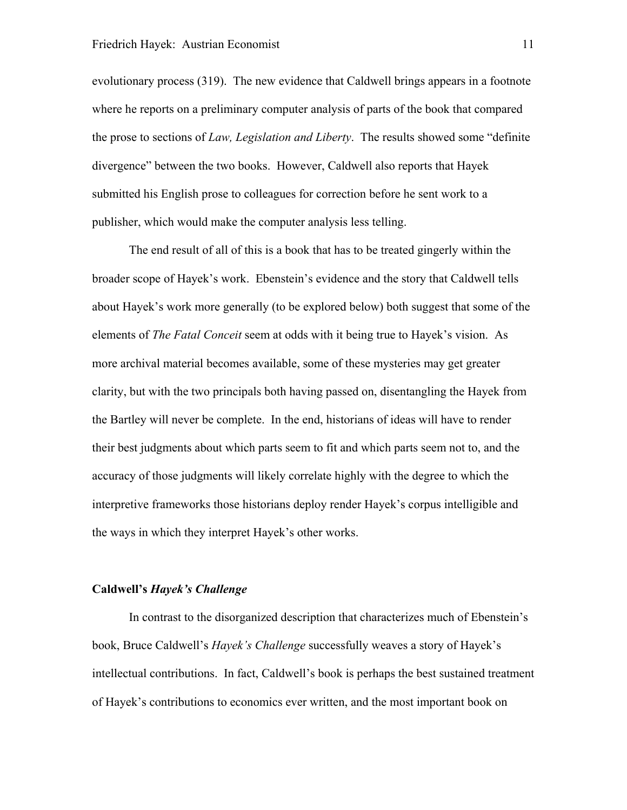evolutionary process (319). The new evidence that Caldwell brings appears in a footnote where he reports on a preliminary computer analysis of parts of the book that compared the prose to sections of *Law, Legislation and Liberty*. The results showed some "definite divergence" between the two books. However, Caldwell also reports that Hayek submitted his English prose to colleagues for correction before he sent work to a publisher, which would make the computer analysis less telling.

 The end result of all of this is a book that has to be treated gingerly within the broader scope of Hayek's work. Ebenstein's evidence and the story that Caldwell tells about Hayek's work more generally (to be explored below) both suggest that some of the elements of *The Fatal Conceit* seem at odds with it being true to Hayek's vision. As more archival material becomes available, some of these mysteries may get greater clarity, but with the two principals both having passed on, disentangling the Hayek from the Bartley will never be complete. In the end, historians of ideas will have to render their best judgments about which parts seem to fit and which parts seem not to, and the accuracy of those judgments will likely correlate highly with the degree to which the interpretive frameworks those historians deploy render Hayek's corpus intelligible and the ways in which they interpret Hayek's other works.

#### **Caldwell's** *Hayek's Challenge*

In contrast to the disorganized description that characterizes much of Ebenstein's book, Bruce Caldwell's *Hayek's Challenge* successfully weaves a story of Hayek's intellectual contributions. In fact, Caldwell's book is perhaps the best sustained treatment of Hayek's contributions to economics ever written, and the most important book on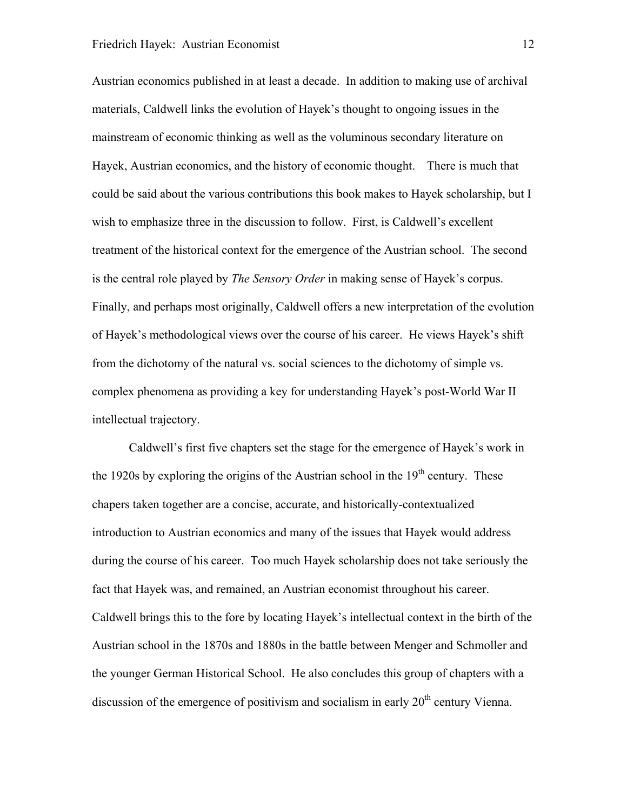Austrian economics published in at least a decade. In addition to making use of archival materials, Caldwell links the evolution of Hayek's thought to ongoing issues in the mainstream of economic thinking as well as the voluminous secondary literature on Hayek, Austrian economics, and the history of economic thought. There is much that could be said about the various contributions this book makes to Hayek scholarship, but I wish to emphasize three in the discussion to follow. First, is Caldwell's excellent treatment of the historical context for the emergence of the Austrian school. The second is the central role played by *The Sensory Order* in making sense of Hayek's corpus. Finally, and perhaps most originally, Caldwell offers a new interpretation of the evolution of Hayek's methodological views over the course of his career. He views Hayek's shift from the dichotomy of the natural vs. social sciences to the dichotomy of simple vs. complex phenomena as providing a key for understanding Hayek's post-World War II intellectual trajectory.

 Caldwell's first five chapters set the stage for the emergence of Hayek's work in the 1920s by exploring the origins of the Austrian school in the  $19<sup>th</sup>$  century. These chapers taken together are a concise, accurate, and historically-contextualized introduction to Austrian economics and many of the issues that Hayek would address during the course of his career. Too much Hayek scholarship does not take seriously the fact that Hayek was, and remained, an Austrian economist throughout his career. Caldwell brings this to the fore by locating Hayek's intellectual context in the birth of the Austrian school in the 1870s and 1880s in the battle between Menger and Schmoller and the younger German Historical School. He also concludes this group of chapters with a discussion of the emergence of positivism and socialism in early  $20<sup>th</sup>$  century Vienna.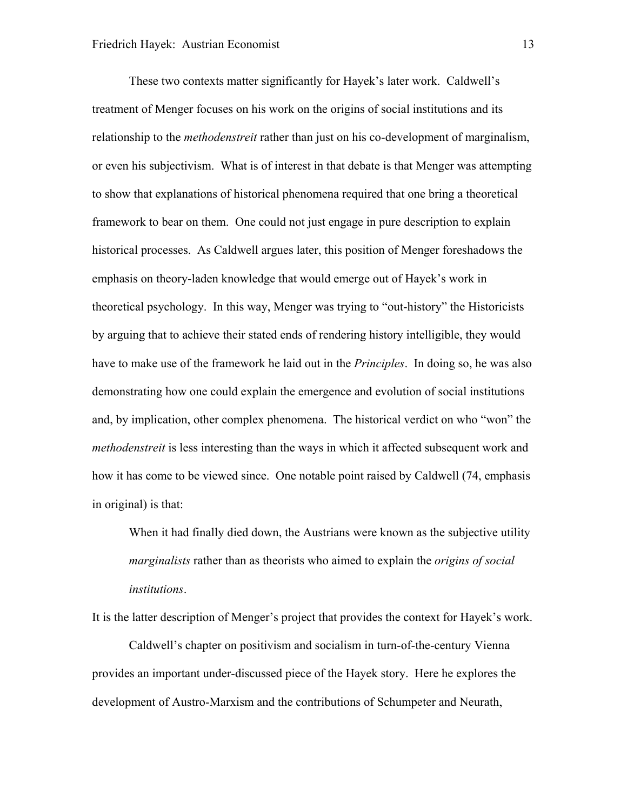These two contexts matter significantly for Hayek's later work. Caldwell's treatment of Menger focuses on his work on the origins of social institutions and its relationship to the *methodenstreit* rather than just on his co-development of marginalism, or even his subjectivism. What is of interest in that debate is that Menger was attempting to show that explanations of historical phenomena required that one bring a theoretical framework to bear on them. One could not just engage in pure description to explain historical processes. As Caldwell argues later, this position of Menger foreshadows the emphasis on theory-laden knowledge that would emerge out of Hayek's work in theoretical psychology. In this way, Menger was trying to "out-history" the Historicists by arguing that to achieve their stated ends of rendering history intelligible, they would have to make use of the framework he laid out in the *Principles*. In doing so, he was also demonstrating how one could explain the emergence and evolution of social institutions and, by implication, other complex phenomena. The historical verdict on who "won" the *methodenstreit* is less interesting than the ways in which it affected subsequent work and how it has come to be viewed since. One notable point raised by Caldwell (74, emphasis in original) is that:

When it had finally died down, the Austrians were known as the subjective utility *marginalists* rather than as theorists who aimed to explain the *origins of social institutions*.

It is the latter description of Menger's project that provides the context for Hayek's work.

 Caldwell's chapter on positivism and socialism in turn-of-the-century Vienna provides an important under-discussed piece of the Hayek story. Here he explores the development of Austro-Marxism and the contributions of Schumpeter and Neurath,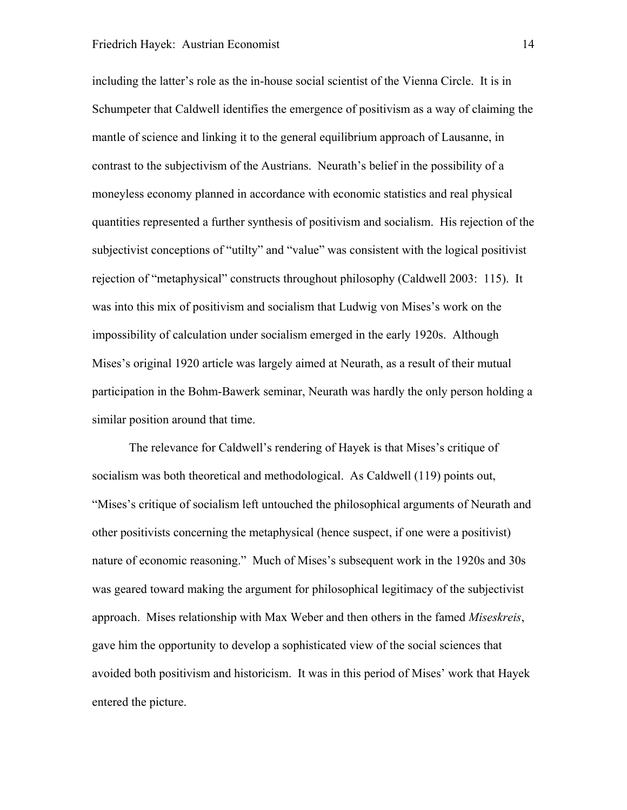including the latter's role as the in-house social scientist of the Vienna Circle. It is in Schumpeter that Caldwell identifies the emergence of positivism as a way of claiming the mantle of science and linking it to the general equilibrium approach of Lausanne, in contrast to the subjectivism of the Austrians. Neurath's belief in the possibility of a moneyless economy planned in accordance with economic statistics and real physical quantities represented a further synthesis of positivism and socialism. His rejection of the subjectivist conceptions of "utilty" and "value" was consistent with the logical positivist rejection of "metaphysical" constructs throughout philosophy (Caldwell 2003: 115). It was into this mix of positivism and socialism that Ludwig von Mises's work on the impossibility of calculation under socialism emerged in the early 1920s. Although Mises's original 1920 article was largely aimed at Neurath, as a result of their mutual participation in the Bohm-Bawerk seminar, Neurath was hardly the only person holding a similar position around that time.

 The relevance for Caldwell's rendering of Hayek is that Mises's critique of socialism was both theoretical and methodological. As Caldwell (119) points out, "Mises's critique of socialism left untouched the philosophical arguments of Neurath and other positivists concerning the metaphysical (hence suspect, if one were a positivist) nature of economic reasoning." Much of Mises's subsequent work in the 1920s and 30s was geared toward making the argument for philosophical legitimacy of the subjectivist approach. Mises relationship with Max Weber and then others in the famed *Miseskreis*, gave him the opportunity to develop a sophisticated view of the social sciences that avoided both positivism and historicism. It was in this period of Mises' work that Hayek entered the picture.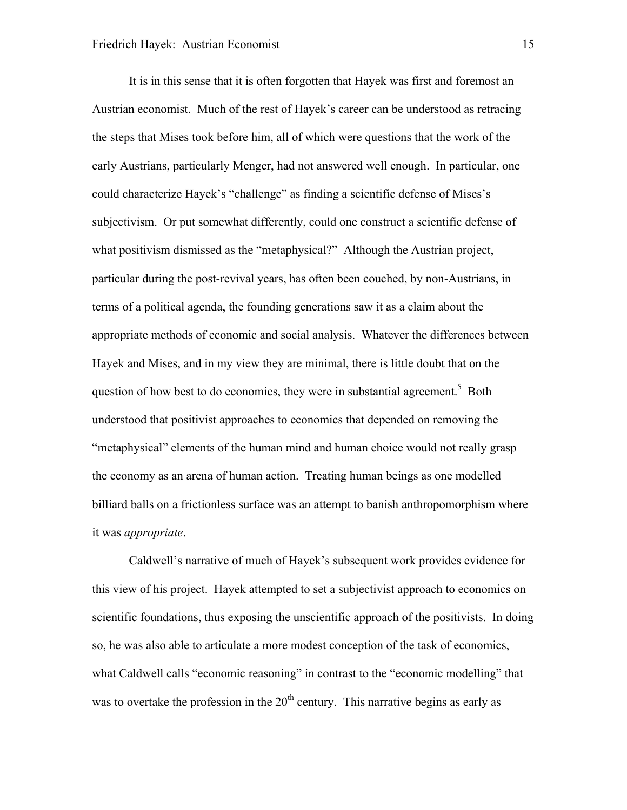It is in this sense that it is often forgotten that Hayek was first and foremost an Austrian economist. Much of the rest of Hayek's career can be understood as retracing the steps that Mises took before him, all of which were questions that the work of the early Austrians, particularly Menger, had not answered well enough. In particular, one could characterize Hayek's "challenge" as finding a scientific defense of Mises's subjectivism. Or put somewhat differently, could one construct a scientific defense of what positivism dismissed as the "metaphysical?" Although the Austrian project, particular during the post-revival years, has often been couched, by non-Austrians, in terms of a political agenda, the founding generations saw it as a claim about the appropriate methods of economic and social analysis. Whatever the differences between Hayek and Mises, and in my view they are minimal, there is little doubt that on the question of how best to do economics, they were in substantial agreement.<sup>[5](#page-27-4)</sup> Both understood that positivist approaches to economics that depended on removing the "metaphysical" elements of the human mind and human choice would not really grasp the economy as an arena of human action. Treating human beings as one modelled billiard balls on a frictionless surface was an attempt to banish anthropomorphism where it was *appropriate*.

 Caldwell's narrative of much of Hayek's subsequent work provides evidence for this view of his project. Hayek attempted to set a subjectivist approach to economics on scientific foundations, thus exposing the unscientific approach of the positivists. In doing so, he was also able to articulate a more modest conception of the task of economics, what Caldwell calls "economic reasoning" in contrast to the "economic modelling" that was to overtake the profession in the  $20<sup>th</sup>$  century. This narrative begins as early as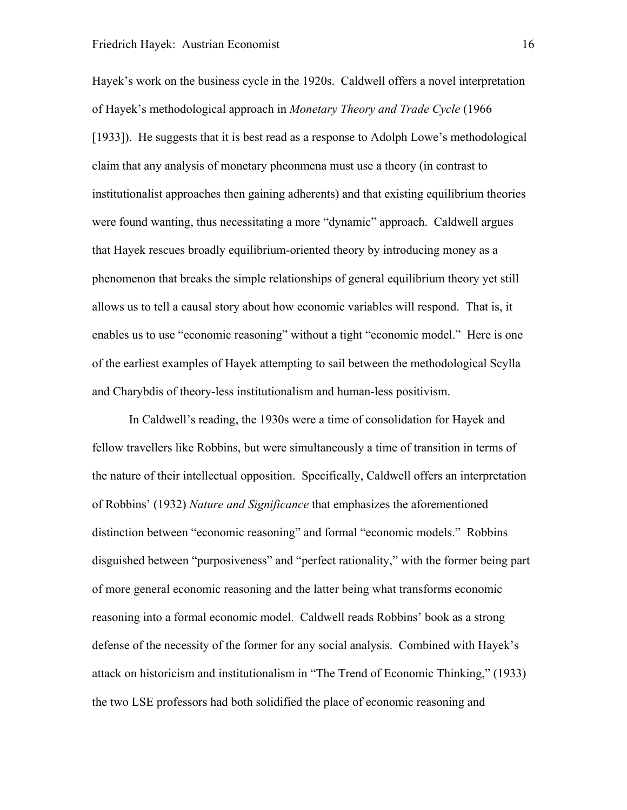Hayek's work on the business cycle in the 1920s. Caldwell offers a novel interpretation of Hayek's methodological approach in *Monetary Theory and Trade Cycle* (1966 [1933]). He suggests that it is best read as a response to Adolph Lowe's methodological claim that any analysis of monetary pheonmena must use a theory (in contrast to institutionalist approaches then gaining adherents) and that existing equilibrium theories were found wanting, thus necessitating a more "dynamic" approach. Caldwell argues that Hayek rescues broadly equilibrium-oriented theory by introducing money as a phenomenon that breaks the simple relationships of general equilibrium theory yet still allows us to tell a causal story about how economic variables will respond. That is, it enables us to use "economic reasoning" without a tight "economic model." Here is one of the earliest examples of Hayek attempting to sail between the methodological Scylla and Charybdis of theory-less institutionalism and human-less positivism.

In Caldwell's reading, the 1930s were a time of consolidation for Hayek and fellow travellers like Robbins, but were simultaneously a time of transition in terms of the nature of their intellectual opposition. Specifically, Caldwell offers an interpretation of Robbins' (1932) *Nature and Significance* that emphasizes the aforementioned distinction between "economic reasoning" and formal "economic models." Robbins disguished between "purposiveness" and "perfect rationality," with the former being part of more general economic reasoning and the latter being what transforms economic reasoning into a formal economic model. Caldwell reads Robbins' book as a strong defense of the necessity of the former for any social analysis. Combined with Hayek's attack on historicism and institutionalism in "The Trend of Economic Thinking," (1933) the two LSE professors had both solidified the place of economic reasoning and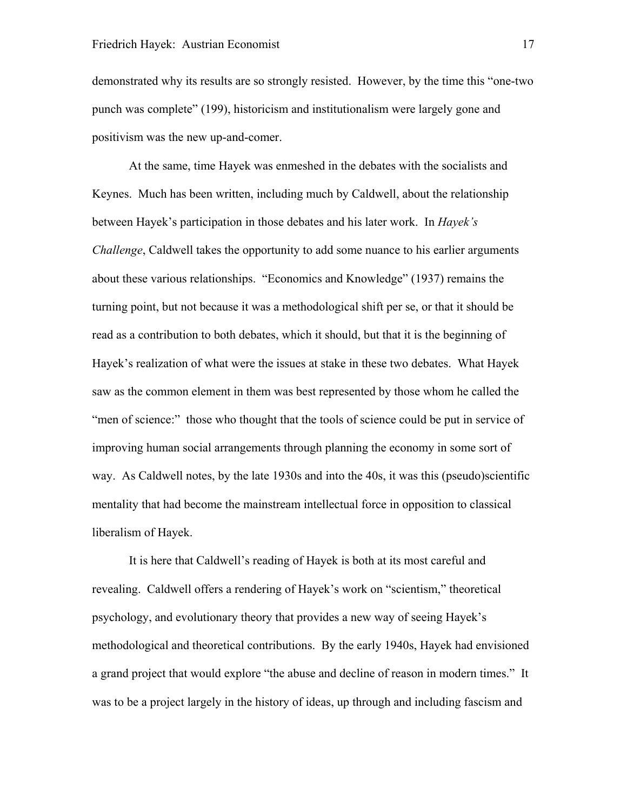demonstrated why its results are so strongly resisted. However, by the time this "one-two punch was complete" (199), historicism and institutionalism were largely gone and positivism was the new up-and-comer.

At the same, time Hayek was enmeshed in the debates with the socialists and Keynes. Much has been written, including much by Caldwell, about the relationship between Hayek's participation in those debates and his later work. In *Hayek's Challenge*, Caldwell takes the opportunity to add some nuance to his earlier arguments about these various relationships. "Economics and Knowledge" (1937) remains the turning point, but not because it was a methodological shift per se, or that it should be read as a contribution to both debates, which it should, but that it is the beginning of Hayek's realization of what were the issues at stake in these two debates. What Hayek saw as the common element in them was best represented by those whom he called the "men of science:" those who thought that the tools of science could be put in service of improving human social arrangements through planning the economy in some sort of way. As Caldwell notes, by the late 1930s and into the 40s, it was this (pseudo)scientific mentality that had become the mainstream intellectual force in opposition to classical liberalism of Hayek.

It is here that Caldwell's reading of Hayek is both at its most careful and revealing. Caldwell offers a rendering of Hayek's work on "scientism," theoretical psychology, and evolutionary theory that provides a new way of seeing Hayek's methodological and theoretical contributions. By the early 1940s, Hayek had envisioned a grand project that would explore "the abuse and decline of reason in modern times." It was to be a project largely in the history of ideas, up through and including fascism and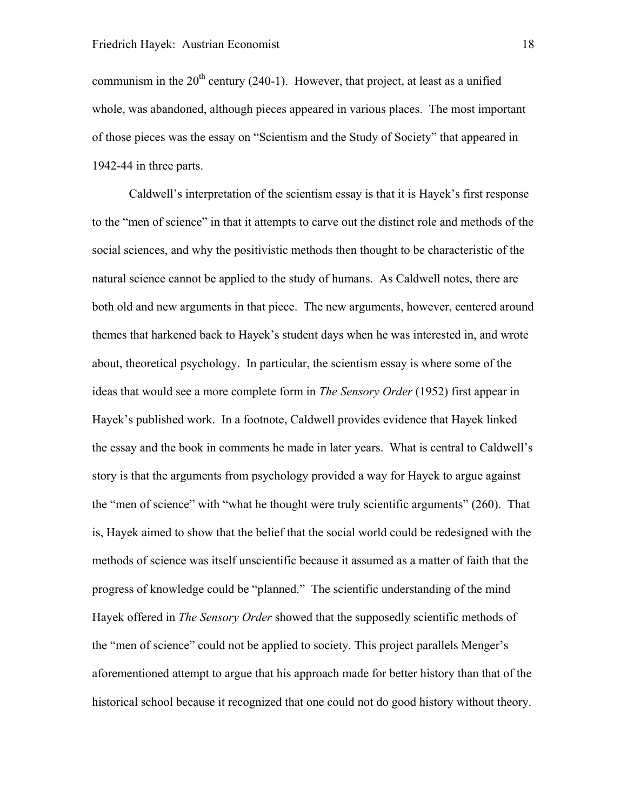communism in the  $20<sup>th</sup>$  century (240-1). However, that project, at least as a unified whole, was abandoned, although pieces appeared in various places. The most important of those pieces was the essay on "Scientism and the Study of Society" that appeared in 1942-44 in three parts.

Caldwell's interpretation of the scientism essay is that it is Hayek's first response to the "men of science" in that it attempts to carve out the distinct role and methods of the social sciences, and why the positivistic methods then thought to be characteristic of the natural science cannot be applied to the study of humans. As Caldwell notes, there are both old and new arguments in that piece. The new arguments, however, centered around themes that harkened back to Hayek's student days when he was interested in, and wrote about, theoretical psychology. In particular, the scientism essay is where some of the ideas that would see a more complete form in *The Sensory Order* (1952) first appear in Hayek's published work. In a footnote, Caldwell provides evidence that Hayek linked the essay and the book in comments he made in later years. What is central to Caldwell's story is that the arguments from psychology provided a way for Hayek to argue against the "men of science" with "what he thought were truly scientific arguments" (260). That is, Hayek aimed to show that the belief that the social world could be redesigned with the methods of science was itself unscientific because it assumed as a matter of faith that the progress of knowledge could be "planned." The scientific understanding of the mind Hayek offered in *The Sensory Order* showed that the supposedly scientific methods of the "men of science" could not be applied to society. This project parallels Menger's aforementioned attempt to argue that his approach made for better history than that of the historical school because it recognized that one could not do good history without theory.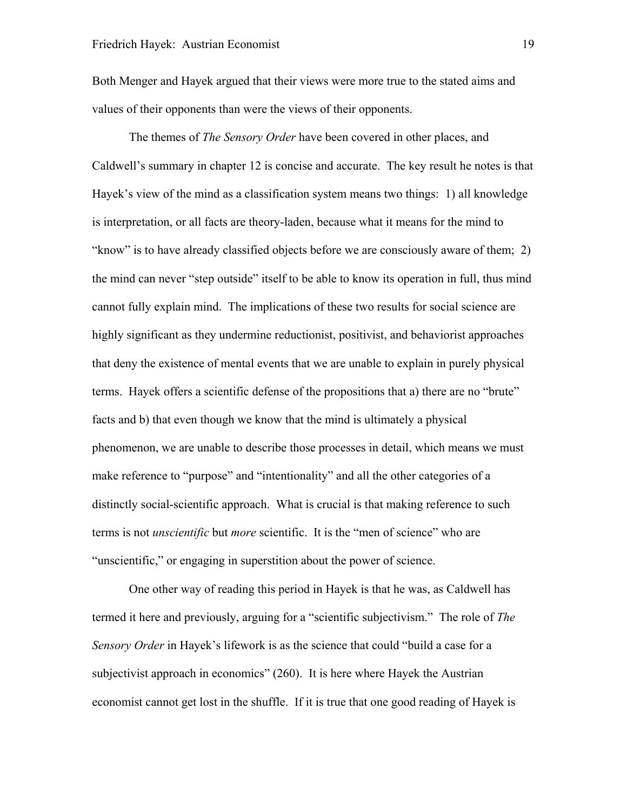Both Menger and Hayek argued that their views were more true to the stated aims and values of their opponents than were the views of their opponents.

The themes of *The Sensory Order* have been covered in other places, and Caldwell's summary in chapter 12 is concise and accurate. The key result he notes is that Hayek's view of the mind as a classification system means two things: 1) all knowledge is interpretation, or all facts are theory-laden, because what it means for the mind to "know" is to have already classified objects before we are consciously aware of them; 2) the mind can never "step outside" itself to be able to know its operation in full, thus mind cannot fully explain mind. The implications of these two results for social science are highly significant as they undermine reductionist, positivist, and behaviorist approaches that deny the existence of mental events that we are unable to explain in purely physical terms. Hayek offers a scientific defense of the propositions that a) there are no "brute" facts and b) that even though we know that the mind is ultimately a physical phenomenon, we are unable to describe those processes in detail, which means we must make reference to "purpose" and "intentionality" and all the other categories of a distinctly social-scientific approach. What is crucial is that making reference to such terms is not *unscientific* but *more* scientific. It is the "men of science" who are "unscientific," or engaging in superstition about the power of science.

One other way of reading this period in Hayek is that he was, as Caldwell has termed it here and previously, arguing for a "scientific subjectivism." The role of *The Sensory Order* in Hayek's lifework is as the science that could "build a case for a subjectivist approach in economics" (260). It is here where Hayek the Austrian economist cannot get lost in the shuffle. If it is true that one good reading of Hayek is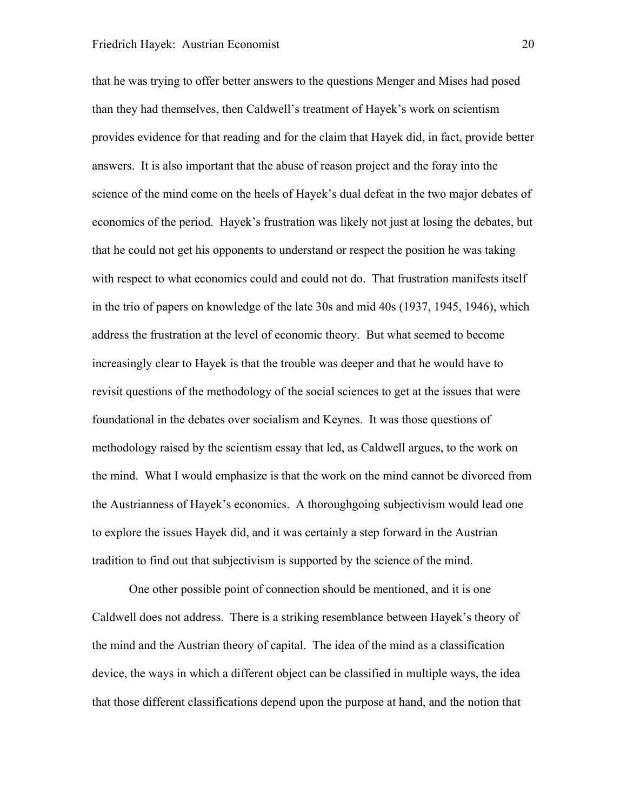that he was trying to offer better answers to the questions Menger and Mises had posed than they had themselves, then Caldwell's treatment of Hayek's work on scientism provides evidence for that reading and for the claim that Hayek did, in fact, provide better answers. It is also important that the abuse of reason project and the foray into the science of the mind come on the heels of Hayek's dual defeat in the two major debates of economics of the period. Hayek's frustration was likely not just at losing the debates, but that he could not get his opponents to understand or respect the position he was taking with respect to what economics could and could not do. That frustration manifests itself in the trio of papers on knowledge of the late 30s and mid 40s (1937, 1945, 1946), which address the frustration at the level of economic theory. But what seemed to become increasingly clear to Hayek is that the trouble was deeper and that he would have to revisit questions of the methodology of the social sciences to get at the issues that were foundational in the debates over socialism and Keynes. It was those questions of methodology raised by the scientism essay that led, as Caldwell argues, to the work on the mind. What I would emphasize is that the work on the mind cannot be divorced from the Austrianness of Hayek's economics. A thoroughgoing subjectivism would lead one to explore the issues Hayek did, and it was certainly a step forward in the Austrian tradition to find out that subjectivism is supported by the science of the mind.

One other possible point of connection should be mentioned, and it is one Caldwell does not address. There is a striking resemblance between Hayek's theory of the mind and the Austrian theory of capital. The idea of the mind as a classification device, the ways in which a different object can be classified in multiple ways, the idea that those different classifications depend upon the purpose at hand, and the notion that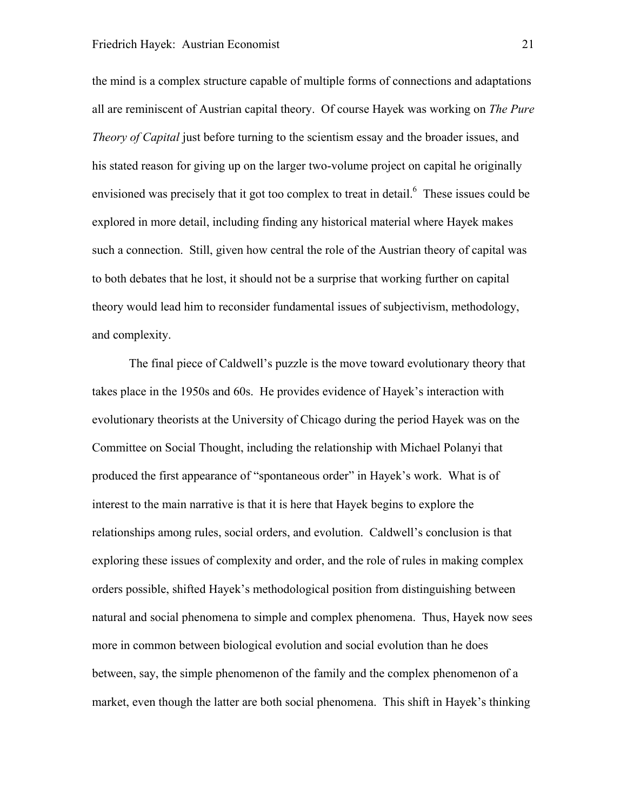the mind is a complex structure capable of multiple forms of connections and adaptations all are reminiscent of Austrian capital theory. Of course Hayek was working on *The Pure Theory of Capital* just before turning to the scientism essay and the broader issues, and his stated reason for giving up on the larger two-volume project on capital he originally envisioned was precisely that it got too complex to treat in detail.  $6$  These issues could be explored in more detail, including finding any historical material where Hayek makes such a connection. Still, given how central the role of the Austrian theory of capital was to both debates that he lost, it should not be a surprise that working further on capital theory would lead him to reconsider fundamental issues of subjectivism, methodology, and complexity.

The final piece of Caldwell's puzzle is the move toward evolutionary theory that takes place in the 1950s and 60s. He provides evidence of Hayek's interaction with evolutionary theorists at the University of Chicago during the period Hayek was on the Committee on Social Thought, including the relationship with Michael Polanyi that produced the first appearance of "spontaneous order" in Hayek's work. What is of interest to the main narrative is that it is here that Hayek begins to explore the relationships among rules, social orders, and evolution. Caldwell's conclusion is that exploring these issues of complexity and order, and the role of rules in making complex orders possible, shifted Hayek's methodological position from distinguishing between natural and social phenomena to simple and complex phenomena. Thus, Hayek now sees more in common between biological evolution and social evolution than he does between, say, the simple phenomenon of the family and the complex phenomenon of a market, even though the latter are both social phenomena. This shift in Hayek's thinking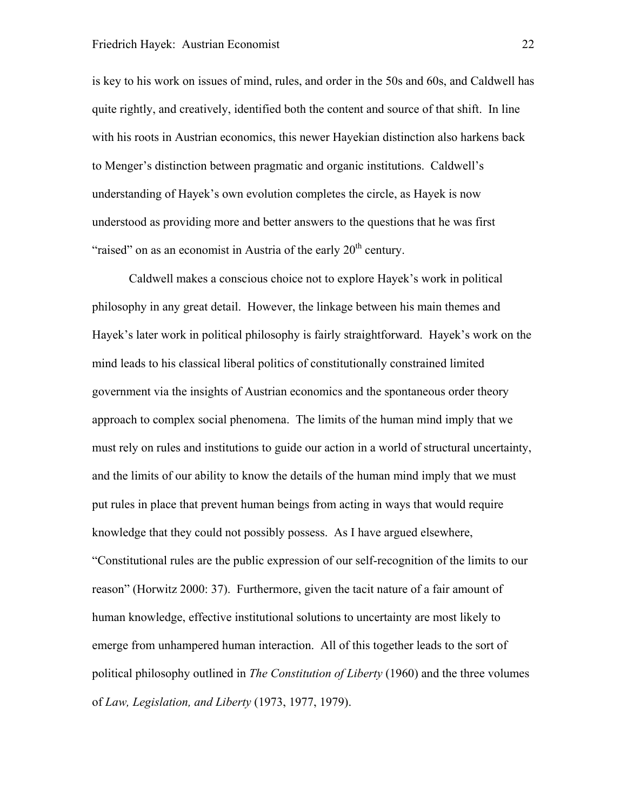is key to his work on issues of mind, rules, and order in the 50s and 60s, and Caldwell has quite rightly, and creatively, identified both the content and source of that shift. In line with his roots in Austrian economics, this newer Hayekian distinction also harkens back to Menger's distinction between pragmatic and organic institutions. Caldwell's understanding of Hayek's own evolution completes the circle, as Hayek is now understood as providing more and better answers to the questions that he was first "raised" on as an economist in Austria of the early  $20<sup>th</sup>$  century.

Caldwell makes a conscious choice not to explore Hayek's work in political philosophy in any great detail. However, the linkage between his main themes and Hayek's later work in political philosophy is fairly straightforward. Hayek's work on the mind leads to his classical liberal politics of constitutionally constrained limited government via the insights of Austrian economics and the spontaneous order theory approach to complex social phenomena. The limits of the human mind imply that we must rely on rules and institutions to guide our action in a world of structural uncertainty, and the limits of our ability to know the details of the human mind imply that we must put rules in place that prevent human beings from acting in ways that would require knowledge that they could not possibly possess. As I have argued elsewhere, "Constitutional rules are the public expression of our self-recognition of the limits to our reason" (Horwitz 2000: 37). Furthermore, given the tacit nature of a fair amount of human knowledge, effective institutional solutions to uncertainty are most likely to emerge from unhampered human interaction. All of this together leads to the sort of political philosophy outlined in *The Constitution of Liberty* (1960) and the three volumes of *Law, Legislation, and Liberty* (1973, 1977, 1979).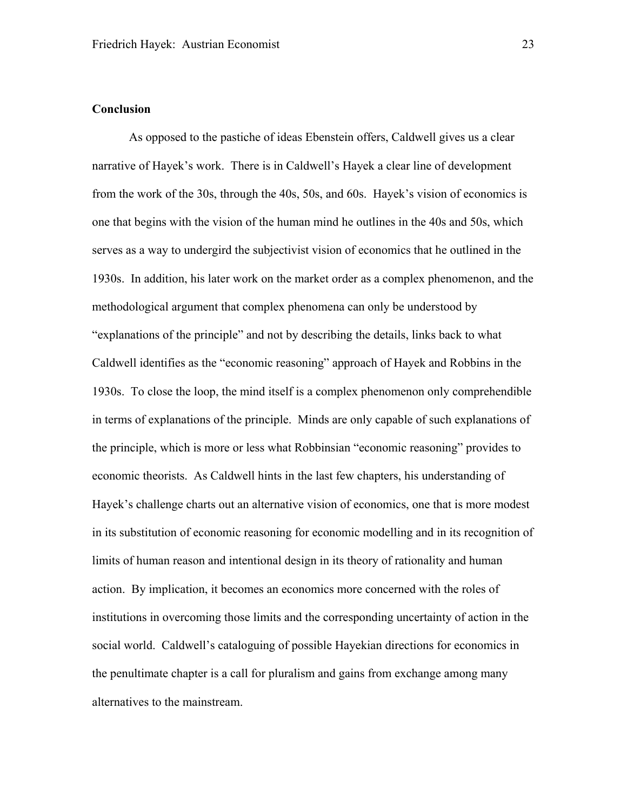# **Conclusion**

As opposed to the pastiche of ideas Ebenstein offers, Caldwell gives us a clear narrative of Hayek's work. There is in Caldwell's Hayek a clear line of development from the work of the 30s, through the 40s, 50s, and 60s. Hayek's vision of economics is one that begins with the vision of the human mind he outlines in the 40s and 50s, which serves as a way to undergird the subjectivist vision of economics that he outlined in the 1930s. In addition, his later work on the market order as a complex phenomenon, and the methodological argument that complex phenomena can only be understood by "explanations of the principle" and not by describing the details, links back to what Caldwell identifies as the "economic reasoning" approach of Hayek and Robbins in the 1930s. To close the loop, the mind itself is a complex phenomenon only comprehendible in terms of explanations of the principle. Minds are only capable of such explanations of the principle, which is more or less what Robbinsian "economic reasoning" provides to economic theorists. As Caldwell hints in the last few chapters, his understanding of Hayek's challenge charts out an alternative vision of economics, one that is more modest in its substitution of economic reasoning for economic modelling and in its recognition of limits of human reason and intentional design in its theory of rationality and human action. By implication, it becomes an economics more concerned with the roles of institutions in overcoming those limits and the corresponding uncertainty of action in the social world. Caldwell's cataloguing of possible Hayekian directions for economics in the penultimate chapter is a call for pluralism and gains from exchange among many alternatives to the mainstream.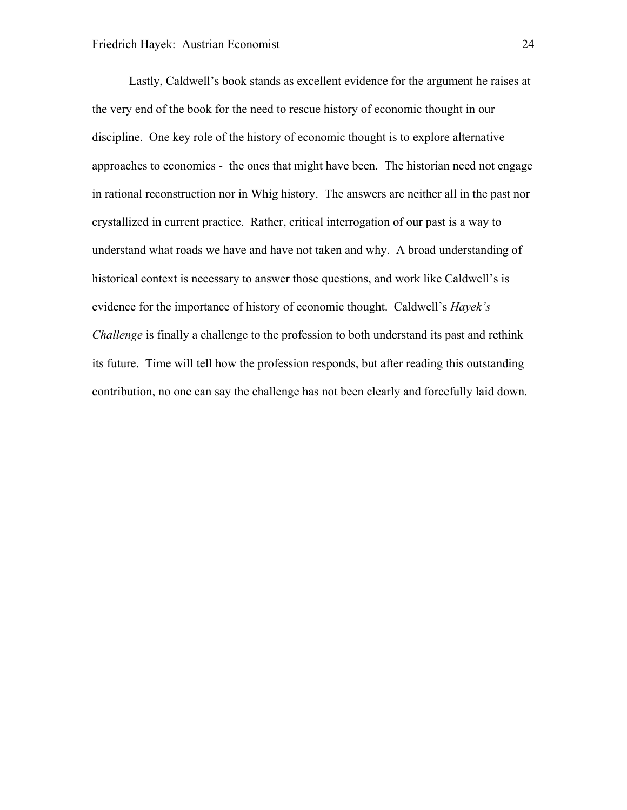Lastly, Caldwell's book stands as excellent evidence for the argument he raises at the very end of the book for the need to rescue history of economic thought in our discipline. One key role of the history of economic thought is to explore alternative approaches to economics - the ones that might have been. The historian need not engage in rational reconstruction nor in Whig history. The answers are neither all in the past nor crystallized in current practice. Rather, critical interrogation of our past is a way to understand what roads we have and have not taken and why. A broad understanding of historical context is necessary to answer those questions, and work like Caldwell's is evidence for the importance of history of economic thought. Caldwell's *Hayek's Challenge* is finally a challenge to the profession to both understand its past and rethink its future. Time will tell how the profession responds, but after reading this outstanding contribution, no one can say the challenge has not been clearly and forcefully laid down.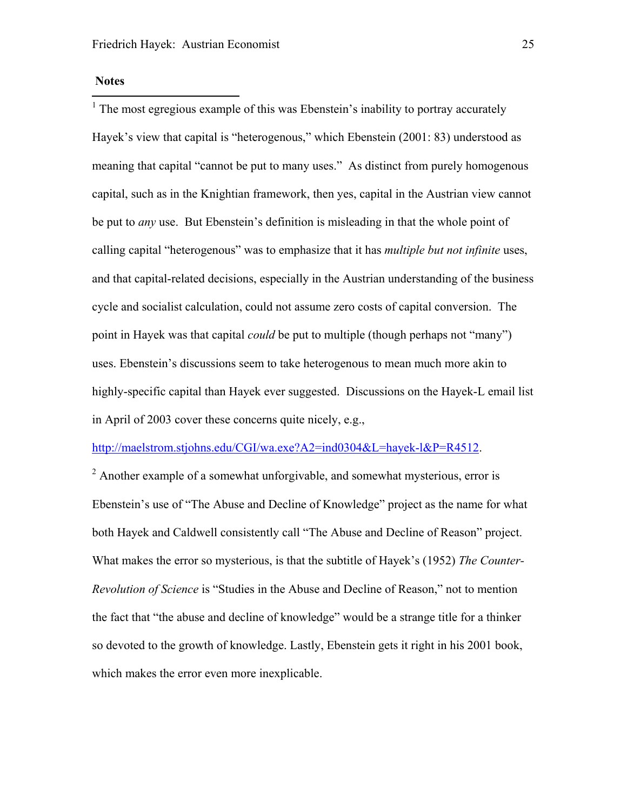### **Notes**

 $\overline{a}$ 

 $<sup>1</sup>$  The most egregious example of this was Ebenstein's inability to portray accurately</sup> Hayek's view that capital is "heterogenous," which Ebenstein (2001: 83) understood as meaning that capital "cannot be put to many uses." As distinct from purely homogenous capital, such as in the Knightian framework, then yes, capital in the Austrian view cannot be put to *any* use. But Ebenstein's definition is misleading in that the whole point of calling capital "heterogenous" was to emphasize that it has *multiple but not infinite* uses, and that capital-related decisions, especially in the Austrian understanding of the business cycle and socialist calculation, could not assume zero costs of capital conversion. The point in Hayek was that capital *could* be put to multiple (though perhaps not "many") uses. Ebenstein's discussions seem to take heterogenous to mean much more akin to highly-specific capital than Hayek ever suggested. Discussions on the Hayek-L email list in April of 2003 cover these concerns quite nicely, e.g.,

## [http://maelstrom.stjohns.edu/CGI/wa.exe?A2=ind0304&L=hayek-l&P=R4512.](http://maelstrom.stjohns.edu/CGI/wa.exe?A2=ind0304&L=hayek-l&P=R4512)

 $2^2$  Another example of a somewhat unforgivable, and somewhat mysterious, error is Ebenstein's use of "The Abuse and Decline of Knowledge" project as the name for what both Hayek and Caldwell consistently call "The Abuse and Decline of Reason" project. What makes the error so mysterious, is that the subtitle of Hayek's (1952) *The Counter-Revolution of Science* is "Studies in the Abuse and Decline of Reason," not to mention the fact that "the abuse and decline of knowledge" would be a strange title for a thinker so devoted to the growth of knowledge. Lastly, Ebenstein gets it right in his 2001 book, which makes the error even more inexplicable.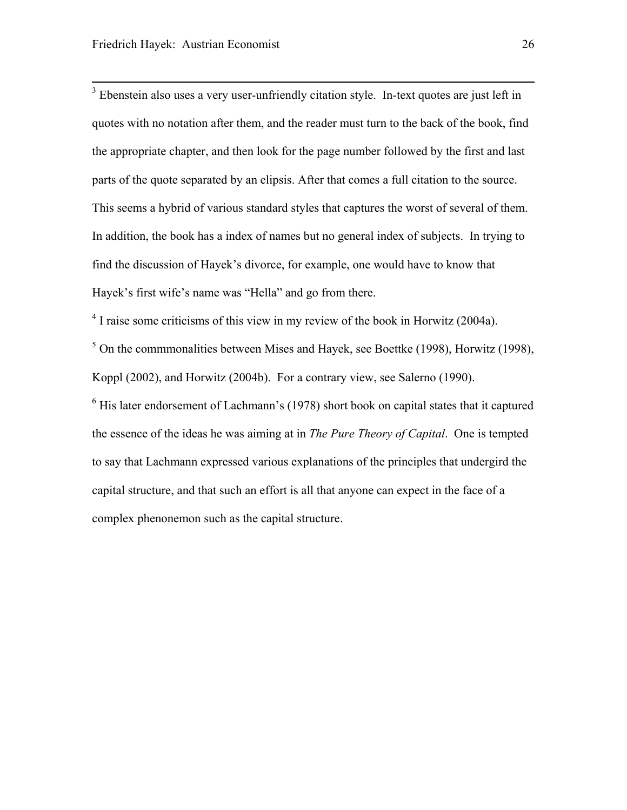<sup>3</sup> Ebenstein also uses a very user-unfriendly citation style. In-text quotes are just left in quotes with no notation after them, and the reader must turn to the back of the book, find the appropriate chapter, and then look for the page number followed by the first and last parts of the quote separated by an elipsis. After that comes a full citation to the source. This seems a hybrid of various standard styles that captures the worst of several of them. In addition, the book has a index of names but no general index of subjects. In trying to find the discussion of Hayek's divorce, for example, one would have to know that Hayek's first wife's name was "Hella" and go from there.

 $4$  I raise some criticisms of this view in my review of the book in Horwitz (2004a).

 $<sup>5</sup>$  On the commmonalities between Mises and Hayek, see Boettke (1998), Horwitz (1998),</sup> Koppl (2002), and Horwitz (2004b). For a contrary view, see Salerno (1990).

 $<sup>6</sup>$  His later endorsement of Lachmann's (1978) short book on capital states that it captured</sup> the essence of the ideas he was aiming at in *The Pure Theory of Capital*. One is tempted to say that Lachmann expressed various explanations of the principles that undergird the capital structure, and that such an effort is all that anyone can expect in the face of a complex phenonemon such as the capital structure.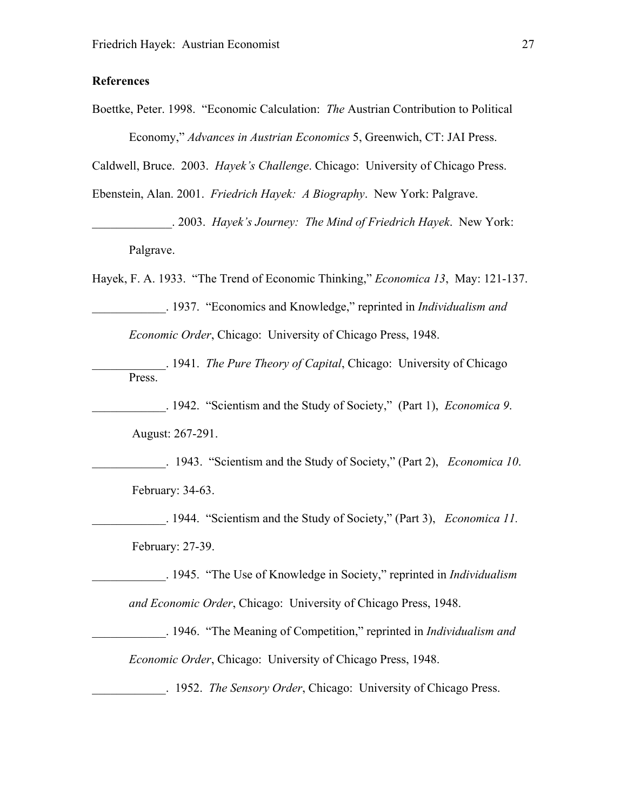## <span id="page-27-2"></span>**References**

<span id="page-27-0"></span>Boettke, Peter. 1998. "Economic Calculation: *The* Austrian Contribution to Political Economy," *Advances in Austrian Economics* 5, Greenwich, CT: JAI Press.

Caldwell, Bruce. 2003. *Hayek's Challenge*. Chicago: University of Chicago Press.

Ebenstein, Alan. 2001. *Friedrich Hayek: A Biography*. New York: Palgrave.

\_\_\_\_\_\_\_\_\_\_\_\_\_. 2003. *Hayek's Journey: The Mind of Friedrich Hayek*. New York: Palgrave.

Hayek, F. A. 1933. "The Trend of Economic Thinking," *Economica 13*, May: 121-137.

- <span id="page-27-3"></span>\_\_\_\_\_\_\_\_\_\_\_\_. 1937. "Economics and Knowledge," reprinted in *Individualism and Economic Order*, Chicago: University of Chicago Press, 1948.
- <span id="page-27-5"></span><span id="page-27-4"></span>\_\_\_\_\_\_\_\_\_\_\_\_. 1941. *The Pure Theory of Capital*, Chicago: University of Chicago Press.
	- \_\_\_\_\_\_\_\_\_\_\_\_. 1942. "Scientism and the Study of Society," (Part 1), *Economica 9*. August: 267-291.
- <span id="page-27-1"></span>\_\_\_\_\_\_\_\_\_\_\_\_. 1943. "Scientism and the Study of Society," (Part 2), *Economica 10*. February: 34-63.
	- \_\_\_\_\_\_\_\_\_\_\_\_. 1944. "Scientism and the Study of Society," (Part 3), *Economica 11.* February: 27-39.
- \_\_\_\_\_\_\_\_\_\_\_\_. 1945. "The Use of Knowledge in Society," reprinted in *Individualism and Economic Order*, Chicago: University of Chicago Press, 1948.
- \_\_\_\_\_\_\_\_\_\_\_\_. 1946. "The Meaning of Competition," reprinted in *Individualism and*

*Economic Order*, Chicago: University of Chicago Press, 1948.

\_\_\_\_\_\_\_\_\_\_\_\_. 1952. *The Sensory Order*, Chicago: University of Chicago Press.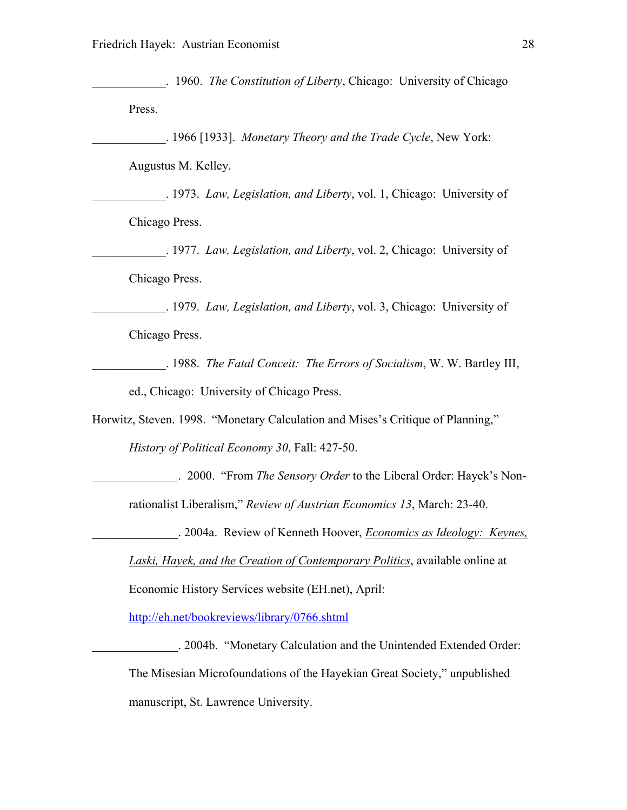|                                                                                 | 1960. The Constitution of Liberty, Chicago: University of Chicago            |
|---------------------------------------------------------------------------------|------------------------------------------------------------------------------|
| Press.                                                                          |                                                                              |
|                                                                                 | . 1966 [1933]. Monetary Theory and the Trade Cycle, New York:                |
| Augustus M. Kelley.                                                             |                                                                              |
|                                                                                 | . 1973. Law, Legislation, and Liberty, vol. 1, Chicago: University of        |
| Chicago Press.                                                                  |                                                                              |
|                                                                                 | . 1977. Law, Legislation, and Liberty, vol. 2, Chicago: University of        |
| Chicago Press.                                                                  |                                                                              |
|                                                                                 | _. 1979. Law, Legislation, and Liberty, vol. 3, Chicago: University of       |
| Chicago Press.                                                                  |                                                                              |
|                                                                                 | . 1988. The Fatal Conceit: The Errors of Socialism, W. W. Bartley III,       |
| ed., Chicago: University of Chicago Press.                                      |                                                                              |
| Horwitz, Steven. 1998. "Monetary Calculation and Mises's Critique of Planning," |                                                                              |
|                                                                                 | History of Political Economy 30, Fall: 427-50.                               |
|                                                                                 | 2000. "From The Sensory Order to the Liberal Order: Hayek's Non-             |
|                                                                                 | rationalist Liberalism," Review of Austrian Economics 13, March: 23-40.      |
|                                                                                 | . 2004a. Review of Kenneth Hoover, <i>Economics as Ideology: Keynes</i> ,    |
|                                                                                 | Laski, Hayek, and the Creation of Contemporary Politics, available online at |
|                                                                                 | Economic History Services website (EH.net), April:                           |
|                                                                                 | http://eh.net/bookreviews/library/0766.shtml                                 |
|                                                                                 | . 2004b. "Monetary Calculation and the Unintended Extended Order:            |
|                                                                                 | The Misesian Microfoundations of the Hayekian Great Society," unpublished    |
|                                                                                 | manuscript, St. Lawrence University.                                         |
|                                                                                 |                                                                              |